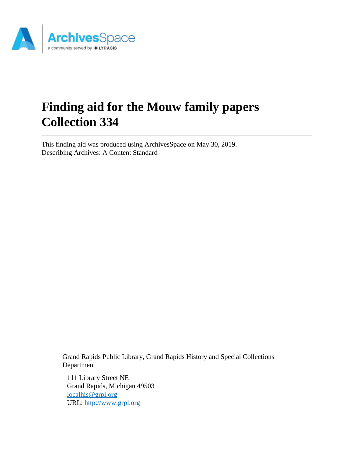

# **Finding aid for the Mouw family papers Collection 334**

This finding aid was produced using ArchivesSpace on May 30, 2019. Describing Archives: A Content Standard

> Grand Rapids Public Library, Grand Rapids History and Special Collections Department

111 Library Street NE Grand Rapids, Michigan 49503 [localhis@grpl.org](mailto:localhis@grpl.org) URL:<http://www.grpl.org>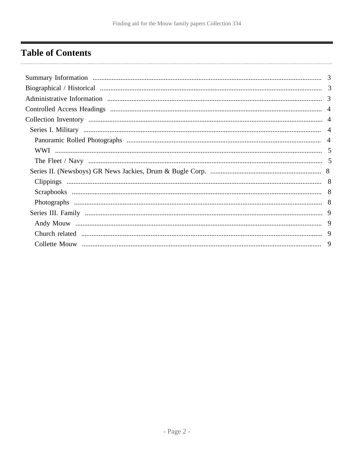## <span id="page-1-0"></span>**Table of Contents**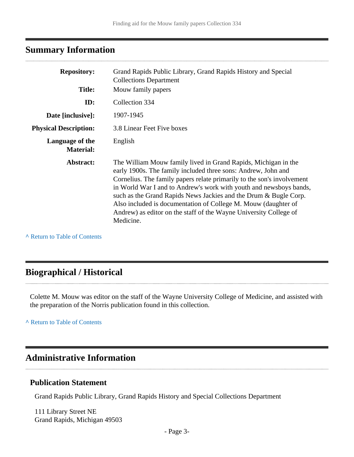## <span id="page-2-0"></span>**Summary Information**

| <b>Repository:</b>                  | Grand Rapids Public Library, Grand Rapids History and Special<br><b>Collections Department</b>                                                                                                                                                                                                                                                                                                                                                                                                          |
|-------------------------------------|---------------------------------------------------------------------------------------------------------------------------------------------------------------------------------------------------------------------------------------------------------------------------------------------------------------------------------------------------------------------------------------------------------------------------------------------------------------------------------------------------------|
| <b>Title:</b>                       | Mouw family papers                                                                                                                                                                                                                                                                                                                                                                                                                                                                                      |
| ID:                                 | Collection 334                                                                                                                                                                                                                                                                                                                                                                                                                                                                                          |
| Date [inclusive]:                   | 1907-1945                                                                                                                                                                                                                                                                                                                                                                                                                                                                                               |
| <b>Physical Description:</b>        | 3.8 Linear Feet Five boxes                                                                                                                                                                                                                                                                                                                                                                                                                                                                              |
| Language of the<br><b>Material:</b> | English                                                                                                                                                                                                                                                                                                                                                                                                                                                                                                 |
| Abstract:                           | The William Mouw family lived in Grand Rapids, Michigan in the<br>early 1900s. The family included three sons: Andrew, John and<br>Cornelius. The family papers relate primarily to the son's involvement<br>in World War I and to Andrew's work with youth and newsboys bands,<br>such as the Grand Rapids News Jackies and the Drum & Bugle Corp.<br>Also included is documentation of College M. Mouw (daughter of<br>Andrew) as editor on the staff of the Wayne University College of<br>Medicine. |

**^** [Return to Table of Contents](#page-1-0)

### <span id="page-2-1"></span>**Biographical / Historical**

Colette M. Mouw was editor on the staff of the Wayne University College of Medicine, and assisted with the preparation of the Norris publication found in this collection.

**^** [Return to Table of Contents](#page-1-0)

### <span id="page-2-2"></span>**Administrative Information**

#### **Publication Statement**

Grand Rapids Public Library, Grand Rapids History and Special Collections Department

111 Library Street NE Grand Rapids, Michigan 49503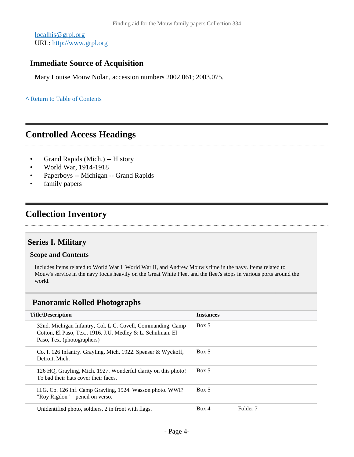[localhis@grpl.org](mailto:localhis@grpl.org) URL:<http://www.grpl.org>

#### **Immediate Source of Acquisition**

Mary Louise Mouw Nolan, accession numbers 2002.061; 2003.075.

#### **^** [Return to Table of Contents](#page-1-0)

### <span id="page-3-0"></span>**Controlled Access Headings**

- Grand Rapids (Mich.) -- History
- World War, 1914-1918
- Paperboys -- Michigan -- Grand Rapids
- family papers

## <span id="page-3-1"></span>**Collection Inventory**

### <span id="page-3-2"></span>**Series I. Military**

#### **Scope and Contents**

Includes items related to World War I, World War II, and Andrew Mouw's time in the navy. Items related to Mouw's service in the navy focus heavily on the Great White Fleet and the fleet's stops in various ports around the world.

#### <span id="page-3-3"></span>**Panoramic Rolled Photographs**

| <b>Title/Description</b>                                                                                                                                | <b>Instances</b> |                     |
|---------------------------------------------------------------------------------------------------------------------------------------------------------|------------------|---------------------|
| 32nd. Michigan Infantry, Col. L.C. Covell, Commanding. Camp<br>Cotton, El Paso, Tex., 1916. J.U. Medley & L. Schulman. El<br>Paso, Tex. (photographers) | Box 5            |                     |
| Co. I. 126 Infantry. Grayling, Mich. 1922. Spenser & Wyckoff,<br>Detroit. Mich.                                                                         | Box 5            |                     |
| 126 HQ, Grayling, Mich. 1927. Wonderful clarity on this photo!<br>To bad their hats cover their faces.                                                  | Box 5            |                     |
| H.G. Co. 126 Inf. Camp Grayling, 1924. Wasson photo. WWI?<br>"Roy Rigdon"—pencil on verso.                                                              | Box 5            |                     |
| Unidentified photo, soldiers, 2 in front with flags.                                                                                                    | Box 4            | Folder <sub>7</sub> |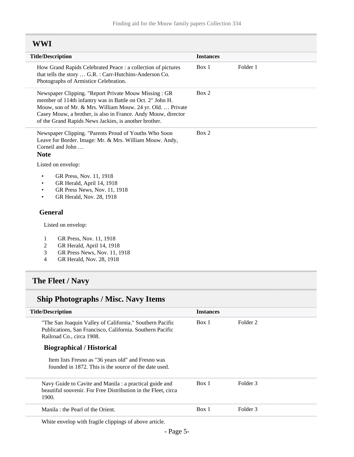### <span id="page-4-0"></span>**WWI**

| <b>Title/Description</b>                                                                                                                                                                                                                                                                                  | <b>Instances</b>  |  |
|-----------------------------------------------------------------------------------------------------------------------------------------------------------------------------------------------------------------------------------------------------------------------------------------------------------|-------------------|--|
| How Grand Rapids Celebrated Peace : a collection of pictures<br>that tells the story  G.R. : Carr-Hutchins-Anderson Co.<br>Photographs of Armistice Celebration.                                                                                                                                          | Folder 1<br>Box 1 |  |
| Newspaper Clipping. "Report Private Mouw Missing: GR<br>member of 114th infantry was in Battle on Oct. 2" John H.<br>Mouw, son of Mr. & Mrs. William Mouw. 24 yr. Old.  Private<br>Casey Mouw, a brother, is also in France. Andy Mouw, director<br>of the Grand Rapids News Jackies, is another brother. | Box 2             |  |
| Newspaper Clipping. "Parents Proud of Youths Who Soon<br>Leave for Border. Image: Mr. & Mrs. William Mouw. Andy,<br>Corneil and John<br><b>Note</b>                                                                                                                                                       | Box 2             |  |
| Listed on envelop:                                                                                                                                                                                                                                                                                        |                   |  |
| GR Press, Nov. 11, 1918<br>$\bullet$<br>GR Herald, April 14, 1918<br>GR Press News, Nov. 11, 1918<br>GR Herald, Nov. 28, 1918                                                                                                                                                                             |                   |  |
| <b>General</b>                                                                                                                                                                                                                                                                                            |                   |  |
| Listed on envelop:                                                                                                                                                                                                                                                                                        |                   |  |
| $\mathbf{1}$<br>GR Press, Nov. 11, 1918<br>$\overline{c}$<br>GR Herald, April 14, 1918<br>GR Press News, Nov. 11, 1918<br>3<br>$\overline{4}$<br>GR Herald, Nov. 28, 1918                                                                                                                                 |                   |  |
| The Fleet / Navy                                                                                                                                                                                                                                                                                          |                   |  |

## <span id="page-4-1"></span>**Ship Photographs / Misc. Navy Items**

| <b>Title/Description</b>                                                                                                                           | <b>Instances</b> |                     |  |
|----------------------------------------------------------------------------------------------------------------------------------------------------|------------------|---------------------|--|
| "The San Joaquin Valley of California." Southern Pacific<br>Publications, San Francisco, California. Southern Pacific<br>Railroad Co., circa 1908. | Box 1            | Folder <sub>2</sub> |  |
| <b>Biographical / Historical</b>                                                                                                                   |                  |                     |  |
| Item lists Fresno as "36 years old" and Fresno was<br>founded in 1872. This is the source of the date used.                                        |                  |                     |  |
| Navy Guide to Cavite and Manila : a practical guide and<br>beautiful souvenir. For Free Distribution in the Fleet, circa<br>1900.                  | Box 1            | Folder 3            |  |
| Manila : the Pearl of the Orient.                                                                                                                  | Box 1            | Folder 3            |  |
| $\mathbf{v}$                                                                                                                                       |                  |                     |  |

White envelop with fragile clippings of above article.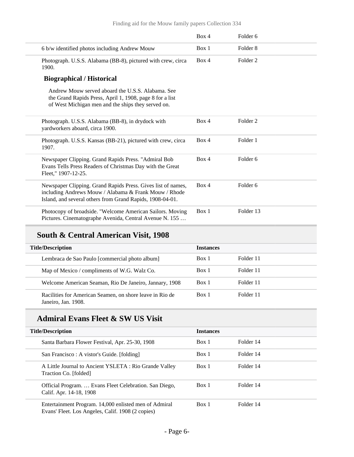|                                                                                                                                                                                    | Box 4 | Folder <sub>6</sub> |
|------------------------------------------------------------------------------------------------------------------------------------------------------------------------------------|-------|---------------------|
| 6 b/w identified photos including Andrew Mouw                                                                                                                                      | Box 1 | Folder <sub>8</sub> |
| Photograph. U.S.S. Alabama (BB-8), pictured with crew, circa<br>1900.                                                                                                              | Box 4 | Folder 2            |
| <b>Biographical / Historical</b>                                                                                                                                                   |       |                     |
| Andrew Mouw served aboard the U.S.S. Alabama. See<br>the Grand Rapids Press, April 1, 1908, page 8 for a list<br>of West Michigan men and the ships they served on.                |       |                     |
| Photograph. U.S.S. Alabama (BB-8), in drydock with<br>yardworkers aboard, circa 1900.                                                                                              | Box 4 | Folder 2            |
| Photograph. U.S.S. Kansas (BB-21), pictured with crew, circa<br>1907.                                                                                                              | Box 4 | Folder 1            |
| Newspaper Clipping. Grand Rapids Press. "Admiral Bob<br>Evans Tells Press Readers of Christmas Day with the Great<br>Fleet," 1907-12-25.                                           | Box 4 | Folder <sub>6</sub> |
| Newspaper Clipping. Grand Rapids Press. Gives list of names,<br>including Andrews Mouw / Alabama & Frank Mouw / Rhode<br>Island, and several others from Grand Rapids, 1908-04-01. | Box 4 | Folder 6            |
| Photocopy of broadside. "Welcome American Sailors. Moving<br>Pictures. Cinematographe Avenida, Central Avenue N. 155                                                               | Box 1 | Folder 13           |

## **South & Central American Visit, 1908**

| <b>Title/Description</b>                                                        | <b>Instances</b> |           |
|---------------------------------------------------------------------------------|------------------|-----------|
| Lembraca de Sao Paulo [commercial photo album]                                  | Box 1            | Folder 11 |
| Map of Mexico / compliments of W.G. Walz Co.                                    | Box 1            | Folder 11 |
| Welcome American Seaman, Rio De Janeiro, Jannary, 1908                          | Box 1            | Folder 11 |
| Racilities for American Seamen, on shore leave in Rio de<br>Janeiro, Jan. 1908. | Box 1            | Folder 11 |

## **Admiral Evans Fleet & SW US Visit**

| <b>Title/Description</b>                                                                                   | <b>Instances</b> |           |  |
|------------------------------------------------------------------------------------------------------------|------------------|-----------|--|
| Santa Barbara Flower Festival, Apr. 25-30, 1908                                                            | Box 1            | Folder 14 |  |
| San Francisco : A vistor's Guide. [folding]                                                                | Box 1            | Folder 14 |  |
| A Little Journal to Ancient YSLETA : Rio Grande Valley<br>Traction Co. [folded]                            | Box 1            | Folder 14 |  |
| Official Program.  Evans Fleet Celebration. San Diego,<br>Calif. Apr. 14-18, 1908                          | Box 1            | Folder 14 |  |
| Entertainment Program. 14,000 enlisted men of Admiral<br>Evans' Fleet. Los Angeles, Calif. 1908 (2 copies) | Box 1            | Folder 14 |  |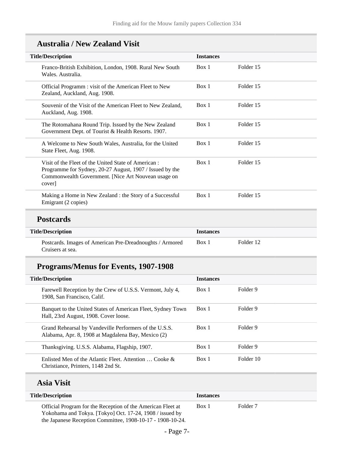| <b>Australia / New Zealand Visit</b> |  |  |  |
|--------------------------------------|--|--|--|
|--------------------------------------|--|--|--|

| <b>Title/Description</b>                                                                                                                                                         | <b>Instances</b> |           |  |
|----------------------------------------------------------------------------------------------------------------------------------------------------------------------------------|------------------|-----------|--|
| Franco-British Exhibition, London, 1908. Rural New South<br>Wales. Australia.                                                                                                    | Box 1            | Folder 15 |  |
| Official Programm : visit of the American Fleet to New<br>Zealand, Auckland, Aug. 1908.                                                                                          | Box 1            | Folder 15 |  |
| Souvenir of the Visit of the American Fleet to New Zealand,<br>Auckland, Aug. 1908.                                                                                              | Box 1            | Folder 15 |  |
| The Rotomahana Round Trip. Issued by the New Zealand<br>Government Dept. of Tourist & Health Resorts. 1907.                                                                      | Box 1            | Folder 15 |  |
| A Welcome to New South Wales, Australia, for the United<br>State Fleet, Aug. 1908.                                                                                               | Box 1            | Folder 15 |  |
| Visit of the Fleet of the United State of American:<br>Programme for Sydney, 20-27 August, 1907 / Issued by the<br>Commonwealth Government. [Nice Art Nouvean usage on<br>cover] | Box 1            | Folder 15 |  |
| Making a Home in New Zealand : the Story of a Successful<br>Emigrant (2 copies)                                                                                                  | Box 1            | Folder 15 |  |
| <b>Postcards</b>                                                                                                                                                                 |                  |           |  |
| <b>Title/Description</b>                                                                                                                                                         | <b>Instances</b> |           |  |
| Postcards. Images of American Pre-Dreadnoughts / Armored<br>Cruisers at sea.                                                                                                     | Box 1            | Folder 12 |  |
| <b>Programs/Menus for Events, 1907-1908</b>                                                                                                                                      |                  |           |  |
| <b>Title/Description</b>                                                                                                                                                         | <b>Instances</b> |           |  |
| Farewell Reception by the Crew of U.S.S. Vermont, July 4,<br>1908, San Francisco, Calif.                                                                                         | Box 1            | Folder 9  |  |
| Banquet to the United States of American Fleet, Sydney Town<br>Hall, 23rd August, 1908. Cover loose.                                                                             | Box 1            | Folder 9  |  |
| Grand Rehearsal by Vandeville Performers of the U.S.S.                                                                                                                           | Box 1            | Folder 9  |  |

- Page 7-

Thanksgiving. U.S.S. Alabama, Flagship, 1907. Box 1 Folder 9

#### Box 1 Folder 7

Box 1 Folder 10

Official Program for the Reception of the American Fleet at Yokohama and Tokya. [Tokyo] Oct. 17-24, 1908 / issued by the Japanese Reception Committee, 1908-10-17 - 1908-10-24.

**Title/Description Instances**

Alabama, Apr. 8, 1908 at Magdalena Bay, Mexico (2)

Enlisted Men of the Atlantic Fleet. Attention … Cooke &

Christiance, Printers, 1148 2nd St.

**Asia Visit**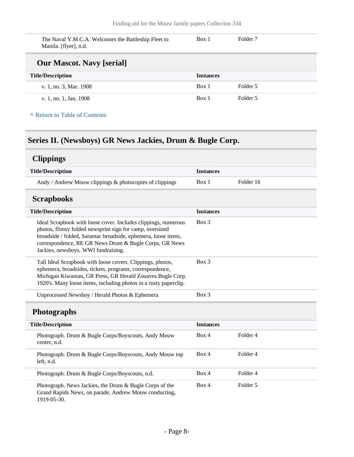The Naval Y.M.C.A. Welcomes the Battleship Fleet to Manila. [flyer], n.d. Box 1 Folder 7 **Our Mascot. Navy [serial] Title/Description Instances** v. 1, no. 3, Mar. 1908 Box 1 Folder 5 v. 1, no. 1, Jan. 1908 Box 1 Folder 5

#### **^** [Return to Table of Contents](#page-1-0)

### <span id="page-7-0"></span>**Series II. (Newsboys) GR News Jackies, Drum & Bugle Corp.**

### <span id="page-7-1"></span>**Clippings**

<span id="page-7-3"></span><span id="page-7-2"></span>

| <b>Title/Description</b>                                                                                                                                                                                                                                                                     | <b>Instances</b> |           |
|----------------------------------------------------------------------------------------------------------------------------------------------------------------------------------------------------------------------------------------------------------------------------------------------|------------------|-----------|
| Andy / Andrew Mouw clippings & photocopies of clippings                                                                                                                                                                                                                                      | Box 1            | Folder 16 |
| <b>Scrapbooks</b>                                                                                                                                                                                                                                                                            |                  |           |
| <b>Title/Description</b>                                                                                                                                                                                                                                                                     | <b>Instances</b> |           |
| Ideal Scrapbook with loose cover. Includes clippings, numerous<br>photos, flimsy folded newsprint sign for camp, oversized<br>broadside / folded, Saramac broadside, ephemera, loose items,<br>correspondence, RE GR News Drum & Bugle Corps, GR News<br>Jackies, newsboys. WWI fundraising. | Box 3            |           |
| Tall Ideal Scrapbook with loose covers. Clippings, photos,<br>ephemera, broadsides, tickets, programs, correspondence,<br>Michigan Kiwanian, GR Press, GR Herald Zouaves Bugle Corp.<br>1920's. Many loose items, including photos in a rusty paperclip.                                     | $Box$ 3          |           |
| Unprocessed Newsboy / Herald Photos & Ephemera                                                                                                                                                                                                                                               | Box 3            |           |
| <b>Photographs</b>                                                                                                                                                                                                                                                                           |                  |           |
| <b>Title/Description</b>                                                                                                                                                                                                                                                                     | <b>Instances</b> |           |
| Photograph. Drum & Bugle Corps/Boyscouts, Andy Mouw<br>center, n.d.                                                                                                                                                                                                                          | Box 4            | Folder 4  |
| Photograph. Drum & Bugle Corps/Boyscouts, Andy Mouw top<br>left, n.d.                                                                                                                                                                                                                        | Box 4            | Folder 4  |
| Photograph. Drum & Bugle Corps/Boyscouts, n.d.                                                                                                                                                                                                                                               | Box 4            | Folder 4  |
| Photograph. News Jackies, the Drum & Bugle Corps of the<br>Grand Rapids News, on parade, Andrew Mouw conducting,<br>1919-05-30.                                                                                                                                                              | Box 4            | Folder 5  |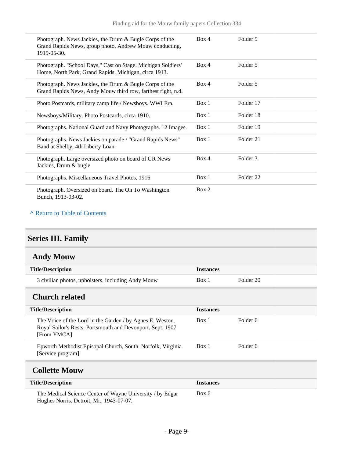| Photograph. News Jackies, the Drum & Bugle Corps of the<br>Grand Rapids News, group photo, Andrew Mouw conducting,<br>1919-05-30. | Box 4 | Folder 5             |
|-----------------------------------------------------------------------------------------------------------------------------------|-------|----------------------|
| Photograph. "School Days," Cast on Stage. Michigan Soldiers'<br>Home, North Park, Grand Rapids, Michigan, circa 1913.             | Box 4 | Folder 5             |
| Photograph. News Jackies, the Drum & Bugle Corps of the<br>Grand Rapids News, Andy Mouw third row, farthest right, n.d.           | Box 4 | Folder 5             |
| Photo Postcards, military camp life / Newsboys. WWI Era.                                                                          | Box 1 | Folder 17            |
| Newsboys/Military. Photo Postcards, circa 1910.                                                                                   | Box 1 | Folder 18            |
| Photographs. National Guard and Navy Photographs. 12 Images.                                                                      | Box 1 | Folder 19            |
| Photographs. News Jackies on parade / "Grand Rapids News"<br>Band at Shelby, 4th Liberty Loan.                                    | Box 1 | Folder 21            |
| Photograph. Large oversized photo on board of GR News<br>Jackies, Drum & bugle                                                    | Box 4 | Folder 3             |
| Photographs. Miscellaneous Travel Photos, 1916                                                                                    | Box 1 | Folder <sub>22</sub> |
| Photograph. Oversized on board. The On To Washington<br>Bunch, 1913-03-02.                                                        | Box 2 |                      |

#### **^** [Return to Table of Contents](#page-1-0)

## <span id="page-8-0"></span>**Series III. Family**

<span id="page-8-1"></span>

| <b>Andy Mouw</b> |  |
|------------------|--|
|------------------|--|

| <b>Title/Description</b>                           | <b>Instances</b> |           |
|----------------------------------------------------|------------------|-----------|
| 3 civilian photos, upholsters, including Andy Mouw | Box 1            | Folder 20 |

## <span id="page-8-2"></span>**Church related**

| <b>Title/Description</b>                                                                                                               | <b>Instances</b> |          |
|----------------------------------------------------------------------------------------------------------------------------------------|------------------|----------|
| The Voice of the Lord in the Garden / by Agnes E. Weston.<br>Royal Sailor's Rests. Portsmouth and Devonport. Sept. 1907<br>[From YMCA] | Box 1            | Folder 6 |
| Epworth Methodist Episopal Church, South. Norfolk, Virginia.<br>[Service program]                                                      | Box 1            | Folder 6 |
| <b>Collette Mouw</b>                                                                                                                   |                  |          |
| <b>Title/Description</b>                                                                                                               | <b>Instances</b> |          |
| The Medical Science Center of Wayne University / by Edgar                                                                              | Box 6            |          |

<span id="page-8-3"></span>Hughes Norris. Detroit, Mi., 1943-07-07.

- Page 9-